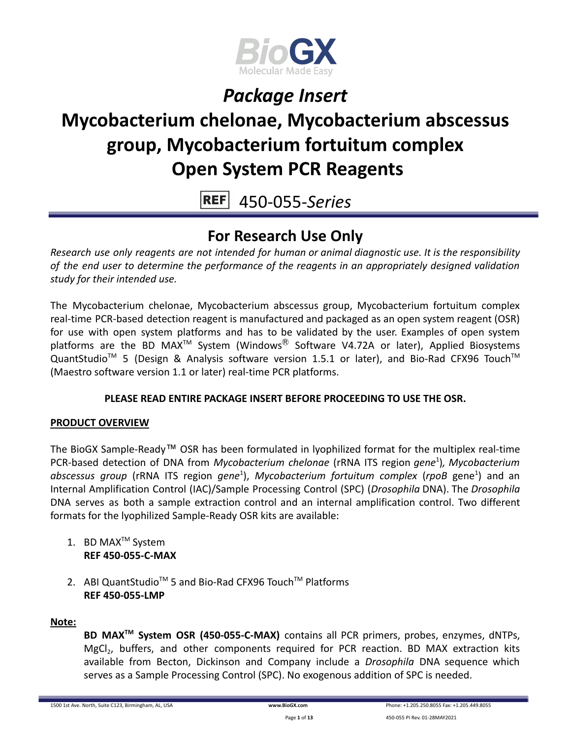

# **Mycobacterium chelonae, Mycobacterium abscessus group, Mycobacterium fortuitum complex Open System PCR Reagents**

 $REF$ 450-055-*Series*

### **For Research Use Only**

*Research use only reagents are not intended for human or animal diagnostic use. It is the responsibility of the end user to determine the performance of the reagents in an appropriately designed validation study for their intended use.*

The Mycobacterium chelonae, Mycobacterium abscessus group, Mycobacterium fortuitum complex real-time PCR-based detection reagent is manufactured and packaged as an open system reagent (OSR) for use with open system platforms and has to be validated by the user. Examples of open system platforms are the BD MAX<sup>TM</sup> System (Windows<sup>®</sup> Software V4.72A or later), Applied Biosystems QuantStudio<sup>™</sup> 5 (Design & Analysis software version 1.5.1 or later), and Bio-Rad CFX96 Touch<sup>™</sup> (Maestro software version 1.1 or later) real-time PCR platforms.

### **PLEASE READ ENTIRE PACKAGE INSERT BEFORE PROCEEDING TO USE THE OSR.**

### **PRODUCT OVERVIEW**

The BioGX Sample-Ready™ OSR has been formulated in lyophilized format for the multiplex real-time PCR-based detection of DNA from *Mycobacterium chelonae* (rRNA ITS region *gene*<sup>1</sup> )*, Mycobacterium abscessus group* (rRNA ITS region *gene*<sup>1</sup> ), *Mycobacterium fortuitum complex* (*rpoB* gene<sup>1</sup> ) and an Internal Amplification Control (IAC)/Sample Processing Control (SPC) (*Drosophila* DNA). The *Drosophila* DNA serves as both a sample extraction control and an internal amplification control. Two different formats for the lyophilized Sample-Ready OSR kits are available:

- 1. BD MAX<sup>™</sup> System **REF 450-055-C-MAX**
- 2. ABI QuantStudio<sup>™</sup> 5 and Bio-Rad CFX96 Touch™ Platforms **REF 450-055-LMP**

#### **Note:**

**BD MAXTM System OSR (450-055-C-MAX)** contains all PCR primers, probes, enzymes, dNTPs, MgCl<sub>2</sub>, buffers, and other components required for PCR reaction. BD MAX extraction kits available from Becton, Dickinson and Company include a *Drosophila* DNA sequence which serves as a Sample Processing Control (SPC). No exogenous addition of SPC is needed.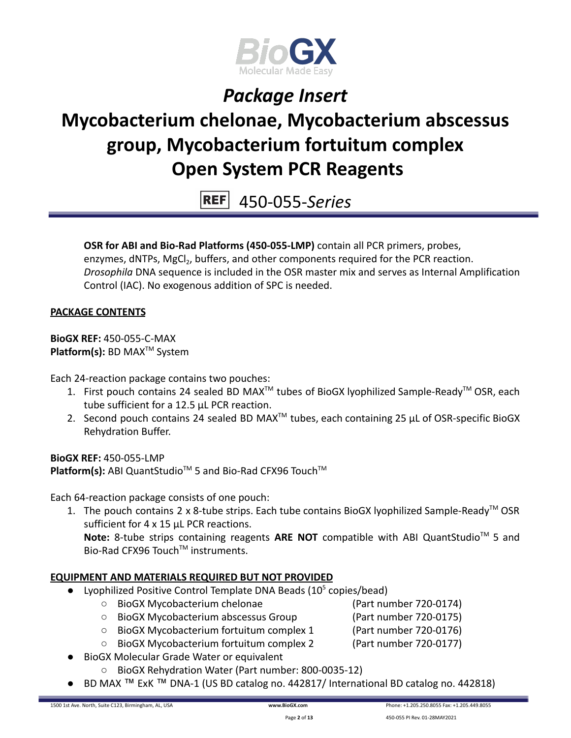

# **Mycobacterium chelonae, Mycobacterium abscessus group, Mycobacterium fortuitum complex Open System PCR Reagents**

450-055-*Series*

**OSR for ABI and Bio-Rad Platforms (450-055-LMP)** contain all PCR primers, probes, enzymes, dNTPs, MgCl<sub>2</sub>, buffers, and other components required for the PCR reaction. *Drosophila* DNA sequence is included in the OSR master mix and serves as Internal Amplification

### **PACKAGE CONTENTS**

**BioGX REF:** 450-055-C-MAX **Platform(s):** BD MAX<sup>™</sup> System

Each 24-reaction package contains two pouches:

- 1. First pouch contains 24 sealed BD MAX<sup>™</sup> tubes of BioGX lyophilized Sample-Ready<sup>™</sup> OSR, each tube sufficient for a 12.5 µL PCR reaction.
- 2. Second pouch contains 24 sealed BD MAX<sup>™</sup> tubes, each containing 25  $\mu$ L of OSR-specific BioGX Rehydration Buffer.

**BioGX REF:** 450-055-LMP Platform(s): ABI QuantStudio<sup>™</sup> 5 and Bio-Rad CFX96 Touch<sup>™</sup>

Control (IAC). No exogenous addition of SPC is needed.

Each 64-reaction package consists of one pouch:

1. The pouch contains 2 x 8-tube strips. Each tube contains BioGX lyophilized Sample-Ready<sup>™</sup> OSR sufficient for 4 x 15 µL PCR reactions.

Note: 8-tube strips containing reagents ARE NOT compatible with ABI QuantStudio<sup>™</sup> 5 and Bio-Rad CFX96 Touch™ instruments.

### **EQUIPMENT AND MATERIALS REQUIRED BUT NOT PROVIDED**

- Lyophilized Positive Control Template DNA Beads  $(10^5 \text{ copies/head})$ 
	- BioGX Mycobacterium chelonae (Part number 720-0174)
	- BioGX Mycobacterium abscessus Group (Part number 720-0175)
		-
	- BioGX Mycobacterium fortuitum complex 1 (Part number 720-0176)
	- BioGX Mycobacterium fortuitum complex 2 (Part number 720-0177)
- **BioGX Molecular Grade Water or equivalent** 
	- BioGX Rehydration Water (Part number: 800-0035-12)
- BD MAX ™ ExK ™ DNA-1 (US BD catalog no. 442817/ International BD catalog no. 442818)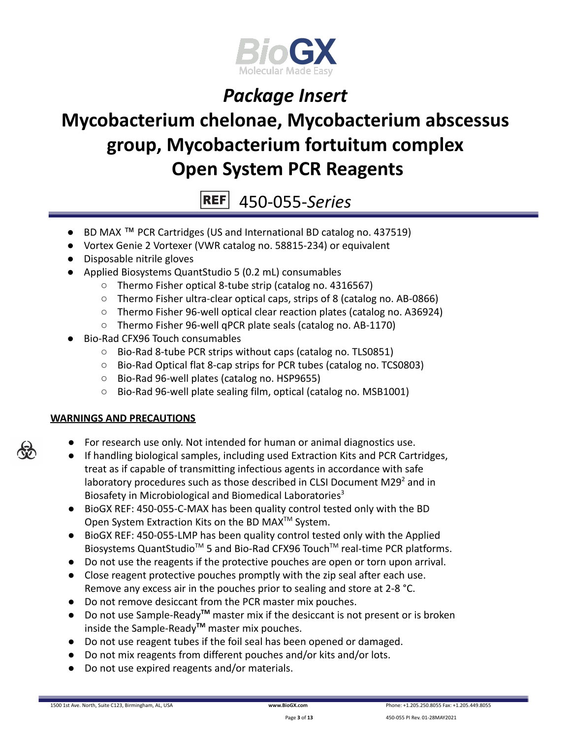

# **Mycobacterium chelonae, Mycobacterium abscessus group, Mycobacterium fortuitum complex Open System PCR Reagents**

450-055-*Series*

- BD MAX ™ PCR Cartridges (US and International BD catalog no. 437519)
- Vortex Genie 2 Vortexer (VWR catalog no. 58815-234) or equivalent
- Disposable nitrile gloves
- Applied Biosystems QuantStudio 5 (0.2 mL) consumables
	- Thermo Fisher optical 8-tube strip (catalog no. 4316567)
	- Thermo Fisher ultra-clear optical caps, strips of 8 (catalog no. AB-0866)
	- Thermo Fisher 96-well optical clear reaction plates (catalog no. A36924)
	- Thermo Fisher 96-well qPCR plate seals (catalog no. AB-1170)
- Bio-Rad CFX96 Touch consumables
	- Bio-Rad 8-tube PCR strips without caps (catalog no. TLS0851)
	- Bio-Rad Optical flat 8-cap strips for PCR tubes (catalog no. TCS0803)
	- Bio-Rad 96-well plates (catalog no. HSP9655)
	- Bio-Rad 96-well plate sealing film, optical (catalog no. MSB1001)

### **WARNINGS AND PRECAUTIONS**

- For research use only. Not intended for human or animal diagnostics use.
- If handling biological samples, including used Extraction Kits and PCR Cartridges, treat as if capable of transmitting infectious agents in accordance with safe laboratory procedures such as those described in CLSI Document M29 $2$  and in Biosafety in Microbiological and Biomedical Laboratories<sup>3</sup>
- BioGX REF: 450-055-C-MAX has been quality control tested only with the BD Open System Extraction Kits on the BD MAX<sup>™</sup> System.
- BioGX REF: 450-055-LMP has been quality control tested only with the Applied Biosystems QuantStudio<sup>™</sup> 5 and Bio-Rad CFX96 Touch<sup>™</sup> real-time PCR platforms.
- Do not use the reagents if the protective pouches are open or torn upon arrival.
- Close reagent protective pouches promptly with the zip seal after each use. Remove any excess air in the pouches prior to sealing and store at 2-8 °C.
- Do not remove desiccant from the PCR master mix pouches.
- Do not use Sample-Ready**TM** master mix if the desiccant is not present or is broken inside the Sample-Ready**TM** master mix pouches.
- Do not use reagent tubes if the foil seal has been opened or damaged.
- Do not mix reagents from different pouches and/or kits and/or lots.
- Do not use expired reagents and/or materials.

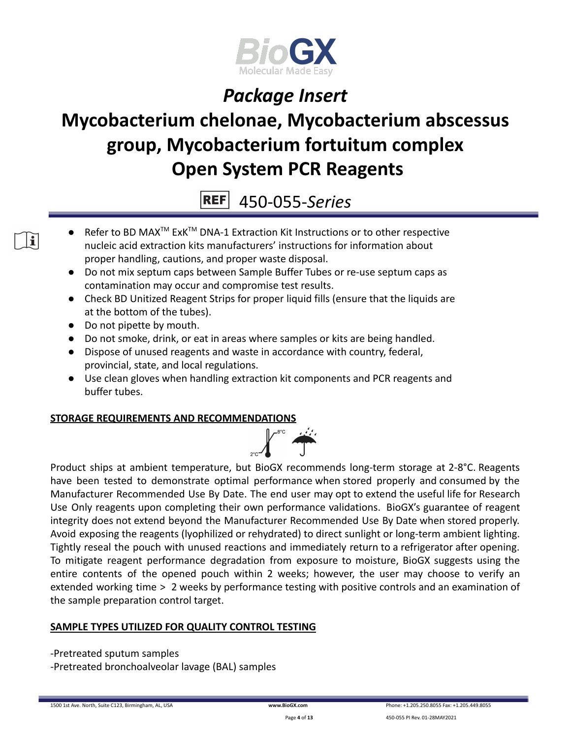

# **Mycobacterium chelonae, Mycobacterium abscessus group, Mycobacterium fortuitum complex Open System PCR Reagents**

450-055-*Series*

- Refer to BD MAX<sup>™</sup> ExK<sup>™</sup> DNA-1 Extraction Kit Instructions or to other respective nucleic acid extraction kits manufacturers' instructions for information about proper handling, cautions, and proper waste disposal.
- Do not mix septum caps between Sample Buffer Tubes or re-use septum caps as contamination may occur and compromise test results.
- Check BD Unitized Reagent Strips for proper liquid fills (ensure that the liquids are at the bottom of the tubes).
- Do not pipette by mouth.
- Do not smoke, drink, or eat in areas where samples or kits are being handled.
- Dispose of unused reagents and waste in accordance with country, federal, provincial, state, and local regulations.
- Use clean gloves when handling extraction kit components and PCR reagents and buffer tubes.

### **STORAGE REQUIREMENTS AND RECOMMENDATIONS**



Product ships at ambient temperature, but BioGX recommends long-term storage at 2-8°C. Reagents have been tested to demonstrate optimal performance when stored properly and consumed by the Manufacturer Recommended Use By Date. The end user may opt to extend the useful life for Research Use Only reagents upon completing their own performance validations. BioGX's guarantee of reagent integrity does not extend beyond the Manufacturer Recommended Use By Date when stored properly. Avoid exposing the reagents (lyophilized or rehydrated) to direct sunlight or long-term ambient lighting. Tightly reseal the pouch with unused reactions and immediately return to a refrigerator after opening. To mitigate reagent performance degradation from exposure to moisture, BioGX suggests using the entire contents of the opened pouch within 2 weeks; however, the user may choose to verify an extended working time > 2 weeks by performance testing with positive controls and an examination of the sample preparation control target.

### **SAMPLE TYPES UTILIZED FOR QUALITY CONTROL TESTING**

-Pretreated sputum samples

-Pretreated bronchoalveolar lavage (BAL) samples

 $\mathbf{i}$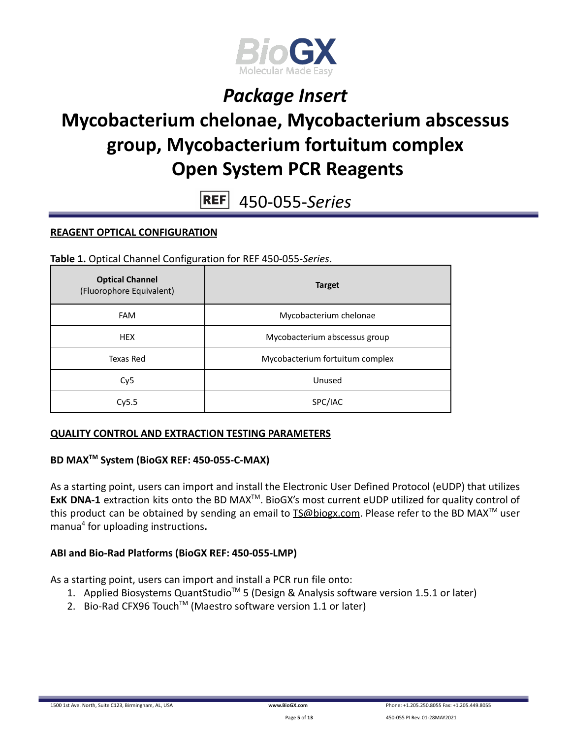

# **Mycobacterium chelonae, Mycobacterium abscessus group, Mycobacterium fortuitum complex Open System PCR Reagents**

**REF** 450-055-*Series*

#### **REAGENT OPTICAL CONFIGURATION**

**Table 1.** Optical Channel Configuration for REF 450-055-*Series*.

| <b>Optical Channel</b><br>(Fluorophore Equivalent) | <b>Target</b>                   |  |
|----------------------------------------------------|---------------------------------|--|
| <b>FAM</b>                                         | Mycobacterium chelonae          |  |
| <b>HEX</b>                                         | Mycobacterium abscessus group   |  |
| Texas Red                                          | Mycobacterium fortuitum complex |  |
| Cy <sub>5</sub>                                    | Unused                          |  |
| Cy5.5                                              | SPC/IAC                         |  |

#### **QUALITY CONTROL AND EXTRACTION TESTING PARAMETERS**

### **BD MAXTM System (BioGX REF: 450-055-C-MAX)**

As a starting point, users can import and install the Electronic User Defined Protocol (eUDP) that utilizes ExK DNA-1 extraction kits onto the BD MAX<sup>™</sup>. BioGX's most current eUDP utilized for quality control of this product can be obtained by sending an email to **[TS@biogx.com](mailto:TS@biogx.com)**. Please refer to the BD MAX<sup>™</sup> user manua<sup>4</sup> for uploading instructions**.**

#### **ABI and Bio-Rad Platforms (BioGX REF: 450-055-LMP)**

As a starting point, users can import and install a PCR run file onto:

- 1. Applied Biosystems QuantStudio<sup>™</sup> 5 (Design & Analysis software version 1.5.1 or later)
- 2. Bio-Rad CFX96 Touch<sup>™</sup> (Maestro software version 1.1 or later)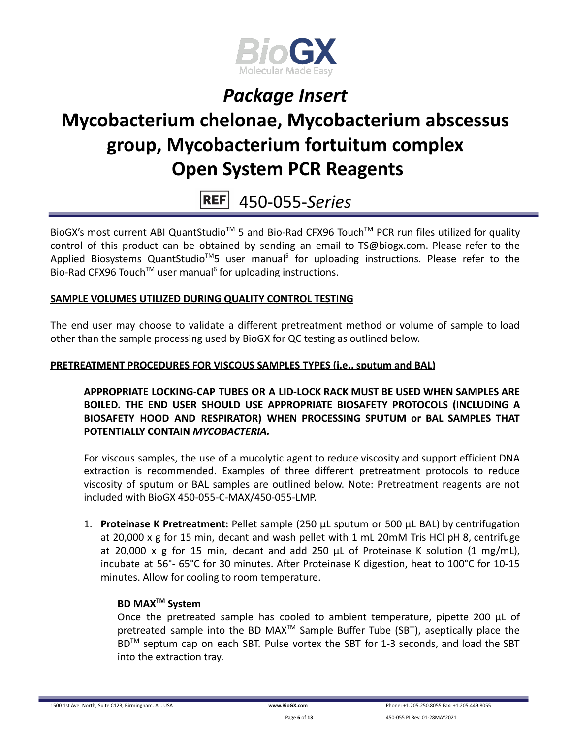

# **Mycobacterium chelonae, Mycobacterium abscessus group, Mycobacterium fortuitum complex Open System PCR Reagents**

## 450-055-*Series*

BioGX's most current ABI QuantStudio<sup>™</sup> 5 and Bio-Rad CFX96 Touch<sup>™</sup> PCR run files utilized for quality control of this product can be obtained by sending an email to [TS@biogx.com.](mailto:TS@biogx.com) Please refer to the Applied Biosystems QuantStudio<sup>™</sup>5 user manual<sup>5</sup> for uploading instructions. Please refer to the Bio-Rad CFX96 Touch<sup>™</sup> user manual<sup>6</sup> for uploading instructions.

### **SAMPLE VOLUMES UTILIZED DURING QUALITY CONTROL TESTING**

The end user may choose to validate a different pretreatment method or volume of sample to load other than the sample processing used by BioGX for QC testing as outlined below.

#### **PRETREATMENT PROCEDURES FOR VISCOUS SAMPLES TYPES (i.e., sputum and BAL)**

**APPROPRIATE LOCKING-CAP TUBES OR A LID-LOCK RACK MUST BE USED WHEN SAMPLES ARE BOILED. THE END USER SHOULD USE APPROPRIATE BIOSAFETY PROTOCOLS (INCLUDING A BIOSAFETY HOOD AND RESPIRATOR) WHEN PROCESSING SPUTUM or BAL SAMPLES THAT POTENTIALLY CONTAIN** *MYCOBACTERIA.*

For viscous samples, the use of a mucolytic agent to reduce viscosity and support efficient DNA extraction is recommended. Examples of three different pretreatment protocols to reduce viscosity of sputum or BAL samples are outlined below. Note: Pretreatment reagents are not included with BioGX 450-055-C-MAX/450-055-LMP.

1. **Proteinase K Pretreatment:** Pellet sample (250 μL sputum or 500 μL BAL) by centrifugation at 20,000 x g for 15 min, decant and wash pellet with 1 mL 20mM Tris HCl pH 8, centrifuge at 20,000 x g for 15 min, decant and add 250 μL of Proteinase K solution (1 mg/mL), incubate at 56°- 65°C for 30 minutes. After Proteinase K digestion, heat to 100°C for 10-15 minutes. Allow for cooling to room temperature.

#### **BD MAXTM System**

Once the pretreated sample has cooled to ambient temperature, pipette 200 μL of pretreated sample into the BD MAX<sup>™</sup> Sample Buffer Tube (SBT), aseptically place the BD<sup>™</sup> septum cap on each SBT. Pulse vortex the SBT for 1-3 seconds, and load the SBT into the extraction tray.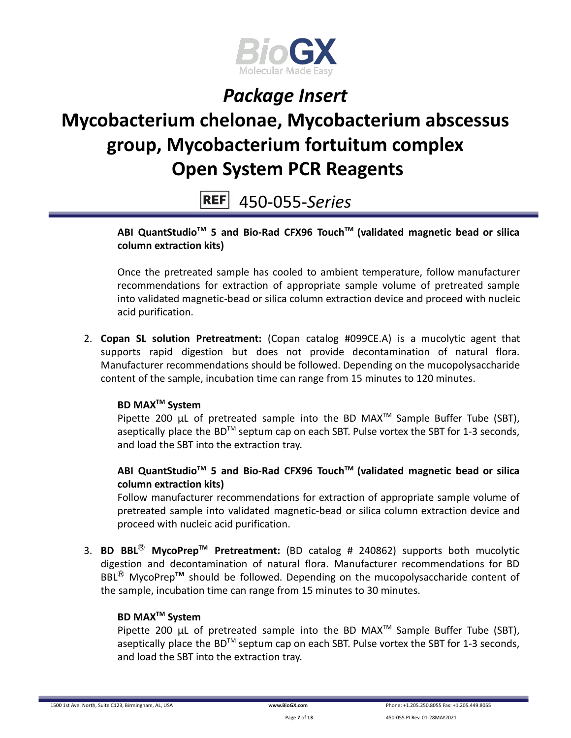

# **Mycobacterium chelonae, Mycobacterium abscessus group, Mycobacterium fortuitum complex Open System PCR Reagents**

450-055-*Series*

### **ABI QuantStudioTM 5 and Bio-Rad CFX96 TouchTM (validated magnetic bead or silica column extraction kits)**

Once the pretreated sample has cooled to ambient temperature, follow manufacturer recommendations for extraction of appropriate sample volume of pretreated sample into validated magnetic-bead or silica column extraction device and proceed with nucleic acid purification.

2. **Copan SL solution Pretreatment:** (Copan catalog #099CE.A) is a mucolytic agent that supports rapid digestion but does not provide decontamination of natural flora. Manufacturer recommendations should be followed. Depending on the mucopolysaccharide content of the sample, incubation time can range from 15 minutes to 120 minutes.

### **BD MAXTM System**

Pipette 200  $\mu$ L of pretreated sample into the BD MAX<sup>TM</sup> Sample Buffer Tube (SBT), aseptically place the BD<sup>TM</sup> septum cap on each SBT. Pulse vortex the SBT for 1-3 seconds, and load the SBT into the extraction tray.

### **ABI QuantStudioTM 5 and Bio-Rad CFX96 TouchTM (validated magnetic bead or silica column extraction kits)**

Follow manufacturer recommendations for extraction of appropriate sample volume of pretreated sample into validated magnetic-bead or silica column extraction device and proceed with nucleic acid purification.

3. **BD BBL**Ⓡ **MycoPrepTM Pretreatment:** (BD catalog # 240862) supports both mucolytic digestion and decontamination of natural flora. Manufacturer recommendations for BD BBL<sup>®</sup> MycoPrep<sup>™</sup> should be followed. Depending on the mucopolysaccharide content of the sample, incubation time can range from 15 minutes to 30 minutes.

### **BD MAXTM System**

Pipette 200  $\mu$ L of pretreated sample into the BD MAX<sup>TM</sup> Sample Buffer Tube (SBT), aseptically place the BD<sup>TM</sup> septum cap on each SBT. Pulse vortex the SBT for 1-3 seconds, and load the SBT into the extraction tray.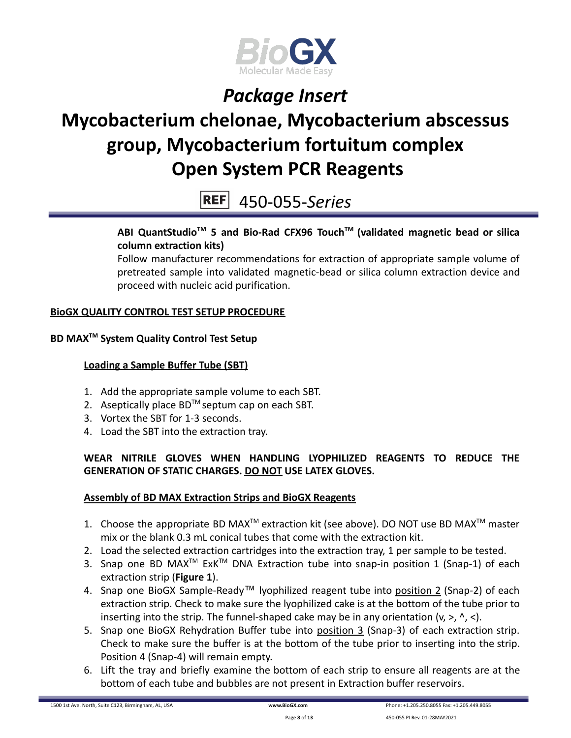

# **Mycobacterium chelonae, Mycobacterium abscessus group, Mycobacterium fortuitum complex Open System PCR Reagents**

450-055-*Series*

### **ABI QuantStudioTM 5 and Bio-Rad CFX96 TouchTM (validated magnetic bead or silica column extraction kits)**

Follow manufacturer recommendations for extraction of appropriate sample volume of pretreated sample into validated magnetic-bead or silica column extraction device and proceed with nucleic acid purification.

### **BioGX QUALITY CONTROL TEST SETUP PROCEDURE**

### **BD MAXTM System Quality Control Test Setup**

### **Loading a Sample Buffer Tube (SBT)**

- 1. Add the appropriate sample volume to each SBT.
- 2. Aseptically place  $BD^{TM}$  septum cap on each SBT.
- 3. Vortex the SBT for 1-3 seconds.
- 4. Load the SBT into the extraction tray.

### **WEAR NITRILE GLOVES WHEN HANDLING LYOPHILIZED REAGENTS TO REDUCE THE GENERATION OF STATIC CHARGES. DO NOT USE LATEX GLOVES.**

### **Assembly of BD MAX Extraction Strips and BioGX Reagents**

- 1. Choose the appropriate BD MAX<sup>TM</sup> extraction kit (see above). DO NOT use BD MAX<sup>TM</sup> master mix or the blank 0.3 mL conical tubes that come with the extraction kit.
- 2. Load the selected extraction cartridges into the extraction tray, 1 per sample to be tested.
- 3. Snap one BD MAX<sup>™</sup> ExK<sup>™</sup> DNA Extraction tube into snap-in position 1 (Snap-1) of each extraction strip (**Figure 1**).
- 4. Snap one BioGX Sample-Ready™ lyophilized reagent tube into position 2 (Snap-2) of each extraction strip. Check to make sure the lyophilized cake is at the bottom of the tube prior to inserting into the strip. The funnel-shaped cake may be in any orientation  $(v, >, \land, <)$ .
- 5. Snap one BioGX Rehydration Buffer tube into position 3 (Snap-3) of each extraction strip. Check to make sure the buffer is at the bottom of the tube prior to inserting into the strip. Position 4 (Snap-4) will remain empty.
- 6. Lift the tray and briefly examine the bottom of each strip to ensure all reagents are at the bottom of each tube and bubbles are not present in Extraction buffer reservoirs.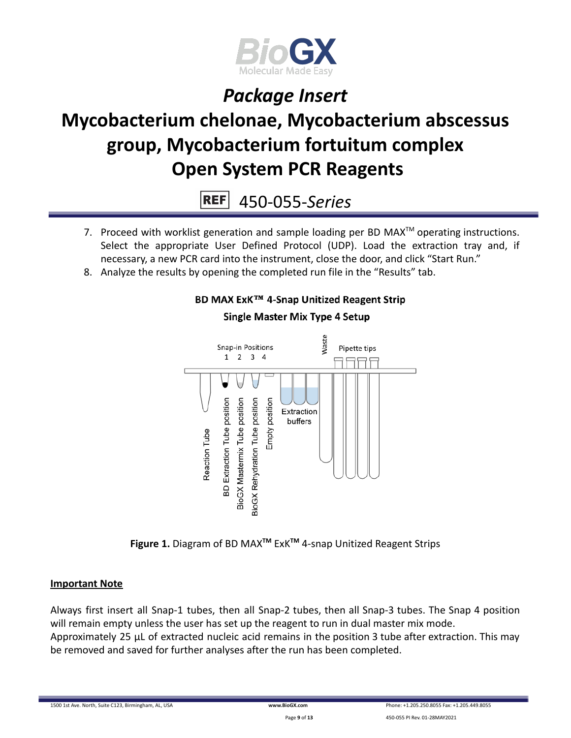

# **Mycobacterium chelonae, Mycobacterium abscessus group, Mycobacterium fortuitum complex Open System PCR Reagents**

**REF** 450-055-*Series*

- 7. Proceed with worklist generation and sample loading per BD MAX $^{TM}$  operating instructions. Select the appropriate User Defined Protocol (UDP). Load the extraction tray and, if necessary, a new PCR card into the instrument, close the door, and click "Start Run."
- 8. Analyze the results by opening the completed run file in the "Results" tab.

### BD MAX ExK™ 4-Snap Unitized Reagent Strip



### **Single Master Mix Type 4 Setup**

**Figure 1.** Diagram of BD MAX**TM** ExK**TM** 4-snap Unitized Reagent Strips

#### **Important Note**

Always first insert all Snap-1 tubes, then all Snap-2 tubes, then all Snap-3 tubes. The Snap 4 position will remain empty unless the user has set up the reagent to run in dual master mix mode. Approximately 25 µL of extracted nucleic acid remains in the position 3 tube after extraction. This may be removed and saved for further analyses after the run has been completed.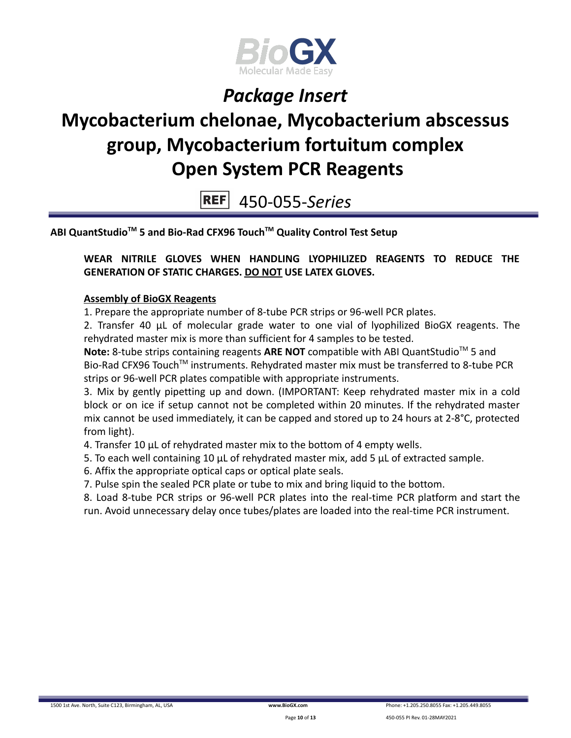

# **Mycobacterium chelonae, Mycobacterium abscessus group, Mycobacterium fortuitum complex Open System PCR Reagents**

450-055-*Series*

**ABI QuantStudioTM 5 and Bio-Rad CFX96 TouchTM Quality Control Test Setup**

**WEAR NITRILE GLOVES WHEN HANDLING LYOPHILIZED REAGENTS TO REDUCE THE GENERATION OF STATIC CHARGES. DO NOT USE LATEX GLOVES.**

#### **Assembly of BioGX Reagents**

1. Prepare the appropriate number of 8-tube PCR strips or 96-well PCR plates.

2. Transfer 40 μL of molecular grade water to one vial of lyophilized BioGX reagents. The rehydrated master mix is more than sufficient for 4 samples to be tested.

Note: 8-tube strips containing reagents ARE NOT compatible with ABI QuantStudio<sup>™</sup> 5 and Bio-Rad CFX96 Touch<sup>™</sup> instruments. Rehydrated master mix must be transferred to 8-tube PCR strips or 96-well PCR plates compatible with appropriate instruments.

3. Mix by gently pipetting up and down. (IMPORTANT: Keep rehydrated master mix in a cold block or on ice if setup cannot not be completed within 20 minutes. If the rehydrated master mix cannot be used immediately, it can be capped and stored up to 24 hours at 2-8°C, protected from light).

4. Transfer 10 μL of rehydrated master mix to the bottom of 4 empty wells.

- 5. To each well containing 10 μL of rehydrated master mix, add 5 μL of extracted sample.
- 6. Affix the appropriate optical caps or optical plate seals.

7. Pulse spin the sealed PCR plate or tube to mix and bring liquid to the bottom.

8. Load 8-tube PCR strips or 96-well PCR plates into the real-time PCR platform and start the run. Avoid unnecessary delay once tubes/plates are loaded into the real-time PCR instrument.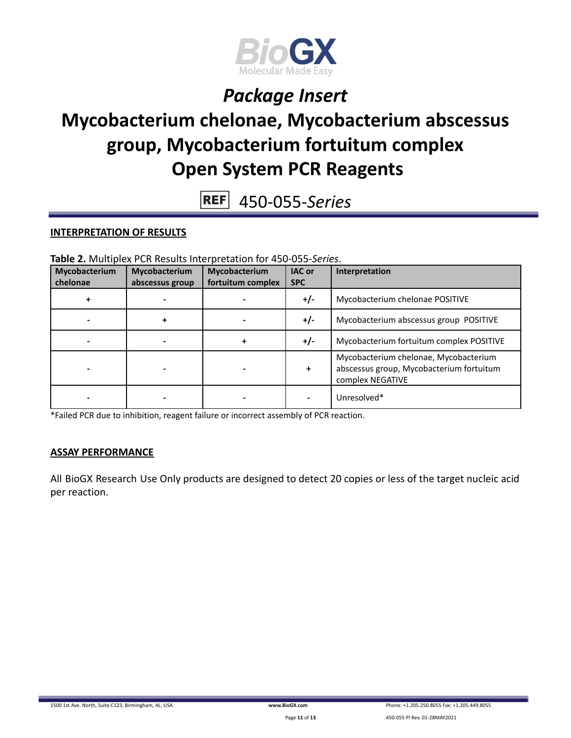

# **Mycobacterium chelonae, Mycobacterium abscessus group, Mycobacterium fortuitum complex Open System PCR Reagents**

450-055-*Series* **REF** 

#### **INTERPRETATION OF RESULTS**

**Table 2.** Multiplex PCR Results Interpretation for 450-055-*Series*.

| Mycobacterium<br>chelonae | Mycobacterium<br>abscessus group | Mycobacterium<br>fortuitum complex | <b>IAC or</b><br><b>SPC</b> | Interpretation                                                                                        |
|---------------------------|----------------------------------|------------------------------------|-----------------------------|-------------------------------------------------------------------------------------------------------|
|                           |                                  |                                    | $+/-$                       | Mycobacterium chelonae POSITIVE                                                                       |
|                           | ٠                                |                                    | $+/-$                       | Mycobacterium abscessus group POSITIVE                                                                |
|                           |                                  |                                    | $+/-$                       | Mycobacterium fortuitum complex POSITIVE                                                              |
|                           |                                  |                                    | ÷                           | Mycobacterium chelonae, Mycobacterium<br>abscessus group, Mycobacterium fortuitum<br>complex NEGATIVE |
|                           |                                  |                                    |                             | Unresolved*                                                                                           |

\*Failed PCR due to inhibition, reagent failure or incorrect assembly of PCR reaction.

#### **ASSAY PERFORMANCE**

All BioGX Research Use Only products are designed to detect 20 copies or less of the target nucleic acid per reaction.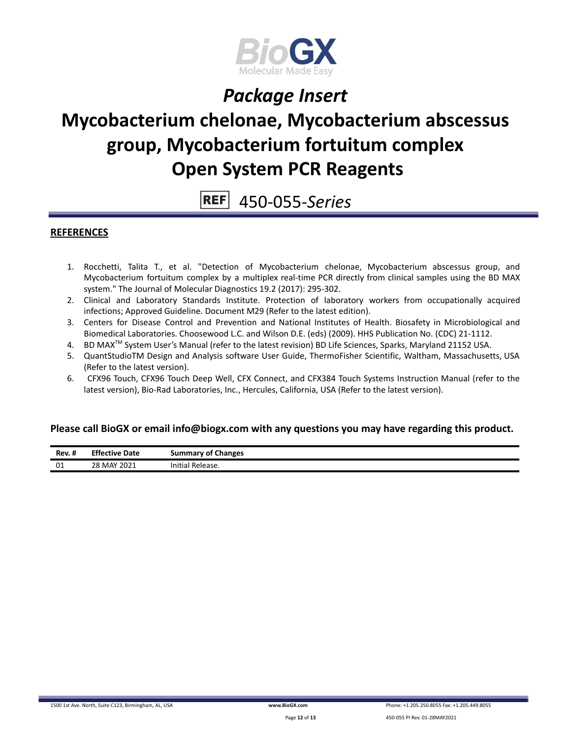

# **Mycobacterium chelonae, Mycobacterium abscessus group, Mycobacterium fortuitum complex Open System PCR Reagents**

#### **REF** 450-055-*Series*

#### **REFERENCES**

- 1. Rocchetti, Talita T., et al. "Detection of Mycobacterium chelonae, Mycobacterium abscessus group, and Mycobacterium fortuitum complex by a multiplex real-time PCR directly from clinical samples using the BD MAX system." The Journal of Molecular Diagnostics 19.2 (2017): 295-302.
- 2. Clinical and Laboratory Standards Institute. Protection of laboratory workers from occupationally acquired infections; Approved Guideline. Document M29 (Refer to the latest edition).
- 3. Centers for Disease Control and Prevention and National Institutes of Health. Biosafety in Microbiological and Biomedical Laboratories. Choosewood L.C. and Wilson D.E. (eds) (2009). HHS Publication No. (CDC) 21-1112.
- 4. BD MAX<sup>™</sup> System User's Manual (refer to the latest revision) BD Life Sciences, Sparks, Maryland 21152 USA.
- 5. QuantStudioTM Design and Analysis software User Guide, ThermoFisher Scientific, Waltham, Massachusetts, USA (Refer to the latest version).
- 6. CFX96 Touch, CFX96 Touch Deep Well, CFX Connect, and CFX384 Touch Systems Instruction Manual (refer to the latest version), Bio-Rad Laboratories, Inc., Hercules, California, USA (Refer to the latest version).

#### **Please call BioGX or email info@biogx.com with any questions you may have regarding this product.**

| Rev. # | <b>Effective Date</b> | <b>Summary of Changes</b> |
|--------|-----------------------|---------------------------|
| 01     | 28 MAY 2021           | Initial Release.          |